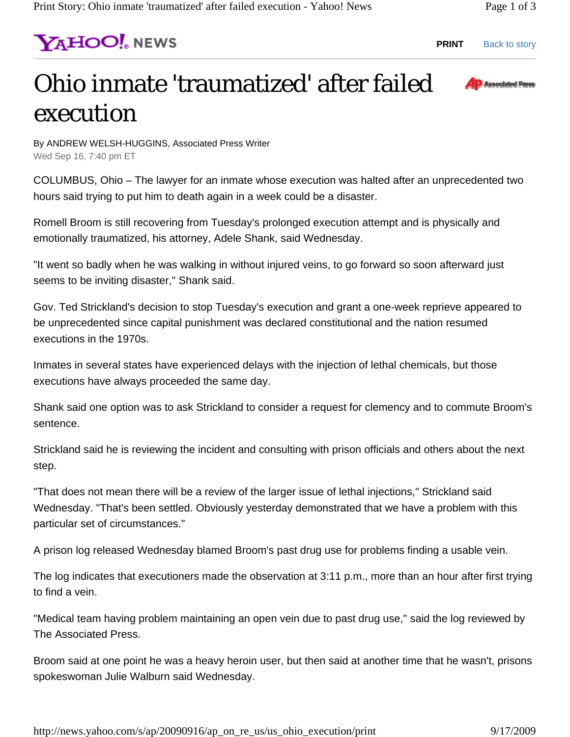**PRINT** Back to story

## Ohio inmate 'traumatized' after failed execution



By ANDREW WELSH-HUGGINS, Associated Press Writer Wed Sep 16, 7:40 pm ET

**YAHOO!** NEWS

COLUMBUS, Ohio – The lawyer for an inmate whose execution was halted after an unprecedented two hours said trying to put him to death again in a week could be a disaster.

Romell Broom is still recovering from Tuesday's prolonged execution attempt and is physically and emotionally traumatized, his attorney, Adele Shank, said Wednesday.

"It went so badly when he was walking in without injured veins, to go forward so soon afterward just seems to be inviting disaster," Shank said.

Gov. Ted Strickland's decision to stop Tuesday's execution and grant a one-week reprieve appeared to be unprecedented since capital punishment was declared constitutional and the nation resumed executions in the 1970s.

Inmates in several states have experienced delays with the injection of lethal chemicals, but those executions have always proceeded the same day.

Shank said one option was to ask Strickland to consider a request for clemency and to commute Broom's sentence.

Strickland said he is reviewing the incident and consulting with prison officials and others about the next step.

"That does not mean there will be a review of the larger issue of lethal injections," Strickland said Wednesday. "That's been settled. Obviously yesterday demonstrated that we have a problem with this particular set of circumstances."

A prison log released Wednesday blamed Broom's past drug use for problems finding a usable vein.

The log indicates that executioners made the observation at 3:11 p.m., more than an hour after first trying to find a vein.

"Medical team having problem maintaining an open vein due to past drug use," said the log reviewed by The Associated Press.

Broom said at one point he was a heavy heroin user, but then said at another time that he wasn't, prisons spokeswoman Julie Walburn said Wednesday.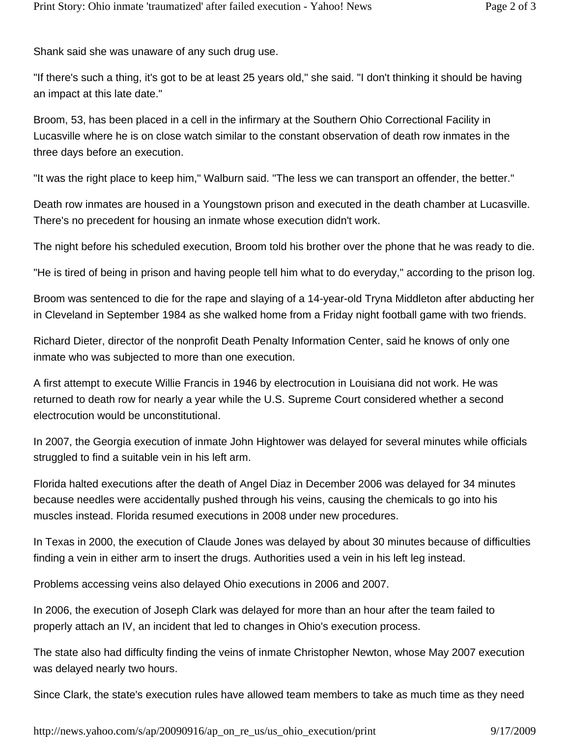Shank said she was unaware of any such drug use.

"If there's such a thing, it's got to be at least 25 years old," she said. "I don't thinking it should be having an impact at this late date."

Broom, 53, has been placed in a cell in the infirmary at the Southern Ohio Correctional Facility in Lucasville where he is on close watch similar to the constant observation of death row inmates in the three days before an execution.

"It was the right place to keep him," Walburn said. "The less we can transport an offender, the better."

Death row inmates are housed in a Youngstown prison and executed in the death chamber at Lucasville. There's no precedent for housing an inmate whose execution didn't work.

The night before his scheduled execution, Broom told his brother over the phone that he was ready to die.

"He is tired of being in prison and having people tell him what to do everyday," according to the prison log.

Broom was sentenced to die for the rape and slaying of a 14-year-old Tryna Middleton after abducting her in Cleveland in September 1984 as she walked home from a Friday night football game with two friends.

Richard Dieter, director of the nonprofit Death Penalty Information Center, said he knows of only one inmate who was subjected to more than one execution.

A first attempt to execute Willie Francis in 1946 by electrocution in Louisiana did not work. He was returned to death row for nearly a year while the U.S. Supreme Court considered whether a second electrocution would be unconstitutional.

In 2007, the Georgia execution of inmate John Hightower was delayed for several minutes while officials struggled to find a suitable vein in his left arm.

Florida halted executions after the death of Angel Diaz in December 2006 was delayed for 34 minutes because needles were accidentally pushed through his veins, causing the chemicals to go into his muscles instead. Florida resumed executions in 2008 under new procedures.

In Texas in 2000, the execution of Claude Jones was delayed by about 30 minutes because of difficulties finding a vein in either arm to insert the drugs. Authorities used a vein in his left leg instead.

Problems accessing veins also delayed Ohio executions in 2006 and 2007.

In 2006, the execution of Joseph Clark was delayed for more than an hour after the team failed to properly attach an IV, an incident that led to changes in Ohio's execution process.

The state also had difficulty finding the veins of inmate Christopher Newton, whose May 2007 execution was delayed nearly two hours.

Since Clark, the state's execution rules have allowed team members to take as much time as they need

http://news.yahoo.com/s/ap/20090916/ap\_on\_re\_us/us\_ohio\_execution/print 9/17/2009